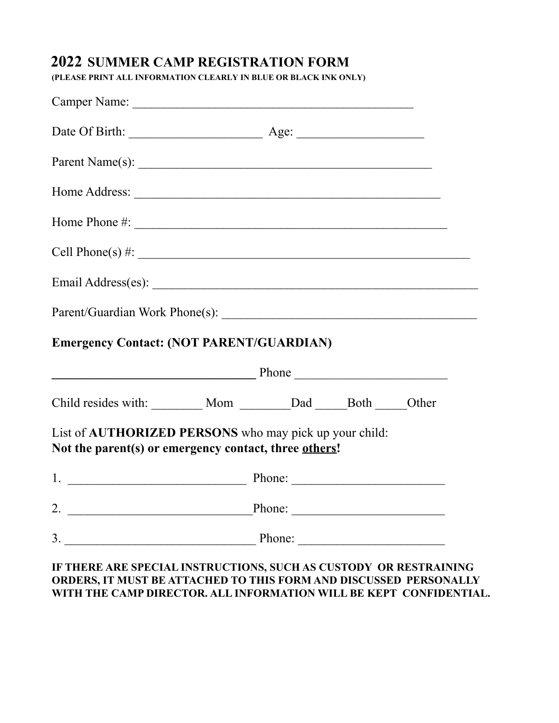# **2021 SUMMER CAMP REGISTRATION FORM 2022 SUMMER CAMP REGISTRATION FORM**

**(PLEASE PRINT ALL INFORMATION CLEARLY IN BLUE OR BLACK INK ONLY.) (PLEASE PRINT ALL INFORMATION CLEARLY IN BLUE OR BLACK INK ONLY)**

| Home Phone $\#$ :                                                                                               |        |                                                   |  |
|-----------------------------------------------------------------------------------------------------------------|--------|---------------------------------------------------|--|
| Cell Phone(s) $\#$ :                                                                                            |        |                                                   |  |
|                                                                                                                 |        |                                                   |  |
|                                                                                                                 |        |                                                   |  |
|                                                                                                                 |        |                                                   |  |
|                                                                                                                 |        |                                                   |  |
| <b>Emergency Contact: (NOT PARENT/GUARDIAN)</b><br>Phone                                                        |        |                                                   |  |
| Child resides with: ________ Mom _______Dad _____Both _____Other                                                |        |                                                   |  |
| List of AUTHORIZED PERSONS who may pick up your child:<br>Not the parent(s) or emergency contact, three others! |        |                                                   |  |
|                                                                                                                 |        |                                                   |  |
|                                                                                                                 | Phone: | <u> 1989 - Johann Barbara, martxa alemaniar a</u> |  |

### **ORDERS, IT MUST BE ATTACHED TO THIS FORM AND DISCUSSED PERSONALLY WITH THE CAMP DIRECTOR. ALL INFORMATION WILL BE KEPT CONFIDENTIAL.**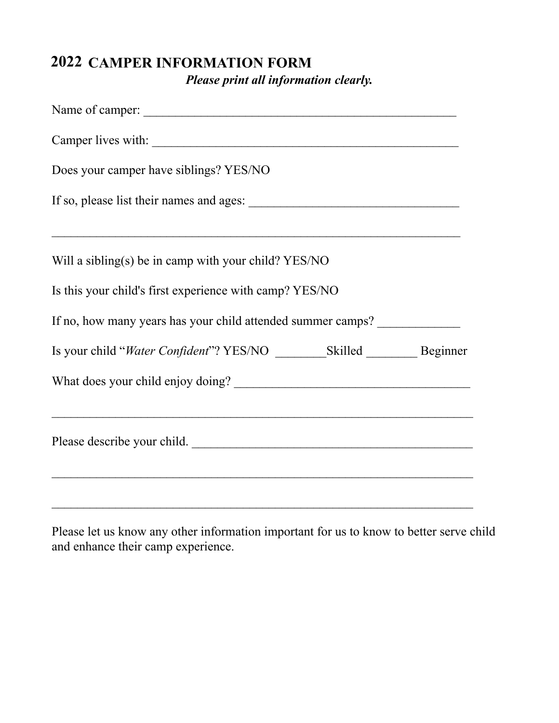# **2021 CAMPER INFORMATION FORM 2022***Please print all information clearly.*

| Name of camper:                                             |
|-------------------------------------------------------------|
|                                                             |
| Does your camper have siblings? YES/NO                      |
|                                                             |
| <u> 1989 - Johann Stoff, amerikansk politiker (d. 1989)</u> |
| Will a sibling(s) be in camp with your child? YES/NO        |
| Is this your child's first experience with camp? YES/NO     |
| If no, how many years has your child attended summer camps? |
|                                                             |
|                                                             |
| <u> 1989 - Johann Stoff, amerikansk politiker (d. 1989)</u> |
| Please describe your child.                                 |
|                                                             |
|                                                             |

Please let us know any other information important for us to know to better serve child and enhance their camp experience.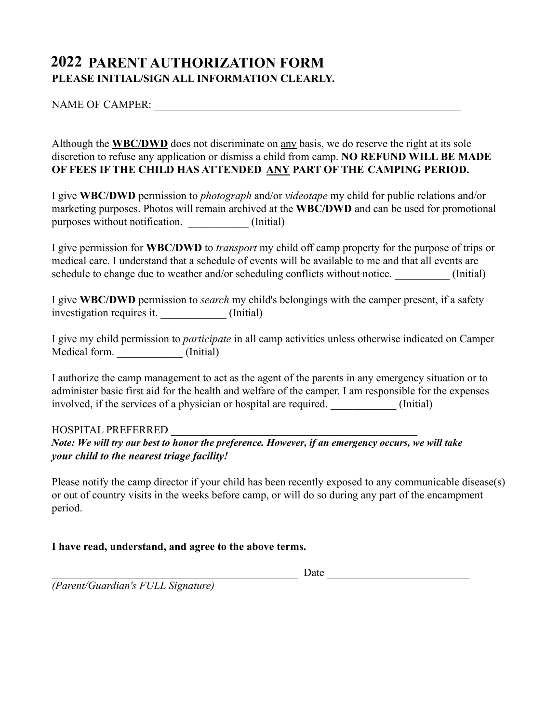### **2021 PARENT AUTHORIZATION FORM 2022 PLEASE INITIAL/SIGN ALL INFORMATION CLEARLY.**

### NAME OF CAMPER:  $\blacksquare$

Although the **WBC/DWD** does not discriminate on any basis, we do reserve the right at its sole discretion to refuse any application or dismiss a child from camp. **NO REFUND WILL BE MADE OF FEES IF THE CHILD HAS ATTENDED ANY PART OF THE CAMPING PERIOD.**

I give **WBC/DWD** permission to *photograph* and/or *videotape* my child for public relations and/or marketing purposes. Photos will remain archived at the **WBC/DWD** and can be used for promotional purposes without notification.  $(Initial)$ 

I give permission for **WBC/DWD** to *transport* my child off camp property for the purpose of trips or medical care. I understand that a schedule of events will be available to me and that all events are schedule to change due to weather and/or scheduling conflicts without notice. (Initial)

I give **WBC/DWD** permission to *search* my child's belongings with the camper present, if a safety investigation requires it. (Initial)

I give my child permission to *participate* in all camp activities unless otherwise indicated on Camper Medical form.  $(Initial)$ 

I authorize the camp management to act as the agent of the parents in any emergency situation or to administer basic first aid for the health and welfare of the camper. I am responsible for the expenses involved, if the services of a physician or hospital are required. (Initial)

#### HOSPITAL PREFERRED \_\_\_\_\_\_\_\_\_\_\_\_\_\_\_\_\_\_\_\_\_\_\_\_\_\_\_\_\_\_\_\_\_\_\_\_\_\_\_\_\_\_\_\_\_

#### *Note: We will try our best to honor the preference, however, if an emergency occurs, we will take Note: We will try our best to honor the preference. However, if an emergency occurs, we will takeyour child to the nearest triage facility!*

Please notify the camp director if your child has been recently exposed to any communicable disease(s) or out of country visits in the weeks before camp, or will do so during any part of the encampment period.

#### **I have read, understand, and agree to the above terms.**

\_\_\_\_\_\_\_\_\_\_\_\_\_\_\_\_\_\_\_\_\_\_\_\_\_\_\_\_\_\_\_\_\_\_\_\_\_\_\_\_\_\_\_\_\_ Date \_\_\_\_\_\_\_\_\_\_\_\_\_\_\_\_\_\_\_\_\_\_\_\_\_\_

*(Parent/Guardian's FULL Signature)*